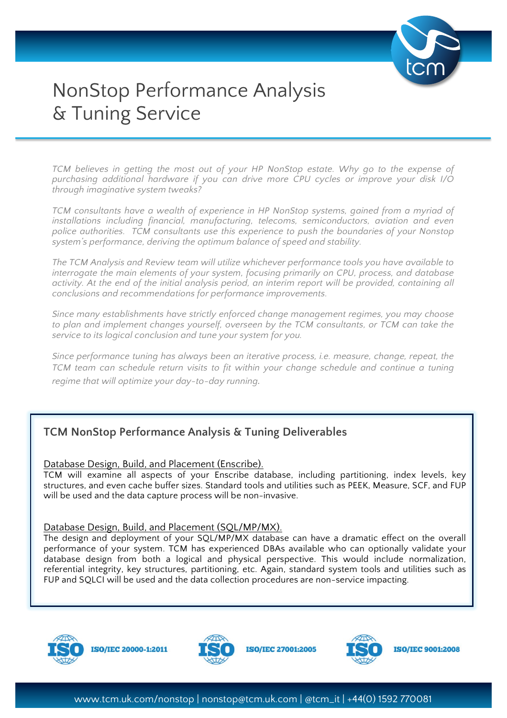

# NonStop Performance Analysis & Tuning Service

*TCM believes in getting the most out of your HP NonStop estate. Why go to the expense of purchasing additional hardware if you can drive more CPU cycles or improve your disk I/O through imaginative system tweaks?*

*TCM consultants have a wealth of experience in HP NonStop systems, gained from a myriad of installations including financial, manufacturing, telecoms, semiconductors, aviation and even police authorities. TCM consultants use this experience to push the boundaries of your Nonstop system's performance, deriving the optimum balance of speed and stability.*

*The TCM Analysis and Review team will utilize whichever performance tools you have available to interrogate the main elements of your system, focusing primarily on CPU, process, and database*  activity. At the end of the initial analysis period, an interim report will be provided, containing all *conclusions and recommendations for performance improvements.* 

*Since many establishments have strictly enforced change management regimes, you may choose*  to plan and implement changes yourself, overseen by the TCM consultants, or TCM can take the *service to its logical conclusion and tune your system for you.*

*Since performance tuning has always been an iterative process, i.e. measure, change, repeat, the TCM team can schedule return visits to fit within your change schedule and continue a tuning regime that will optimize your day-to-day running.*

# **TCM NonStop Performance Analysis & Tuning Deliverables**

Database Design, Build, and Placement (Enscribe).

TCM will examine all aspects of your Enscribe database, including partitioning, index levels, key structures, and even cache buffer sizes. Standard tools and utilities such as PEEK, Measure, SCF, and FUP will be used and the data capture process will be non-invasive.

#### Database Design, Build, and Placement (SQL/MP/MX).

The design and deployment of your SQL/MP/MX database can have a dramatic effect on the overall performance of your system. TCM has experienced DBAs available who can optionally validate your database design from both a logical and physical perspective. This would include normalization, referential integrity, key structures, partitioning, etc. Again, standard system tools and utilities such as FUP and SQLCI will be used and the data collection procedures are non-service impacting.



**ISO/IEC 20000-1:2011** 



**ISO/IEC 27001:2005**